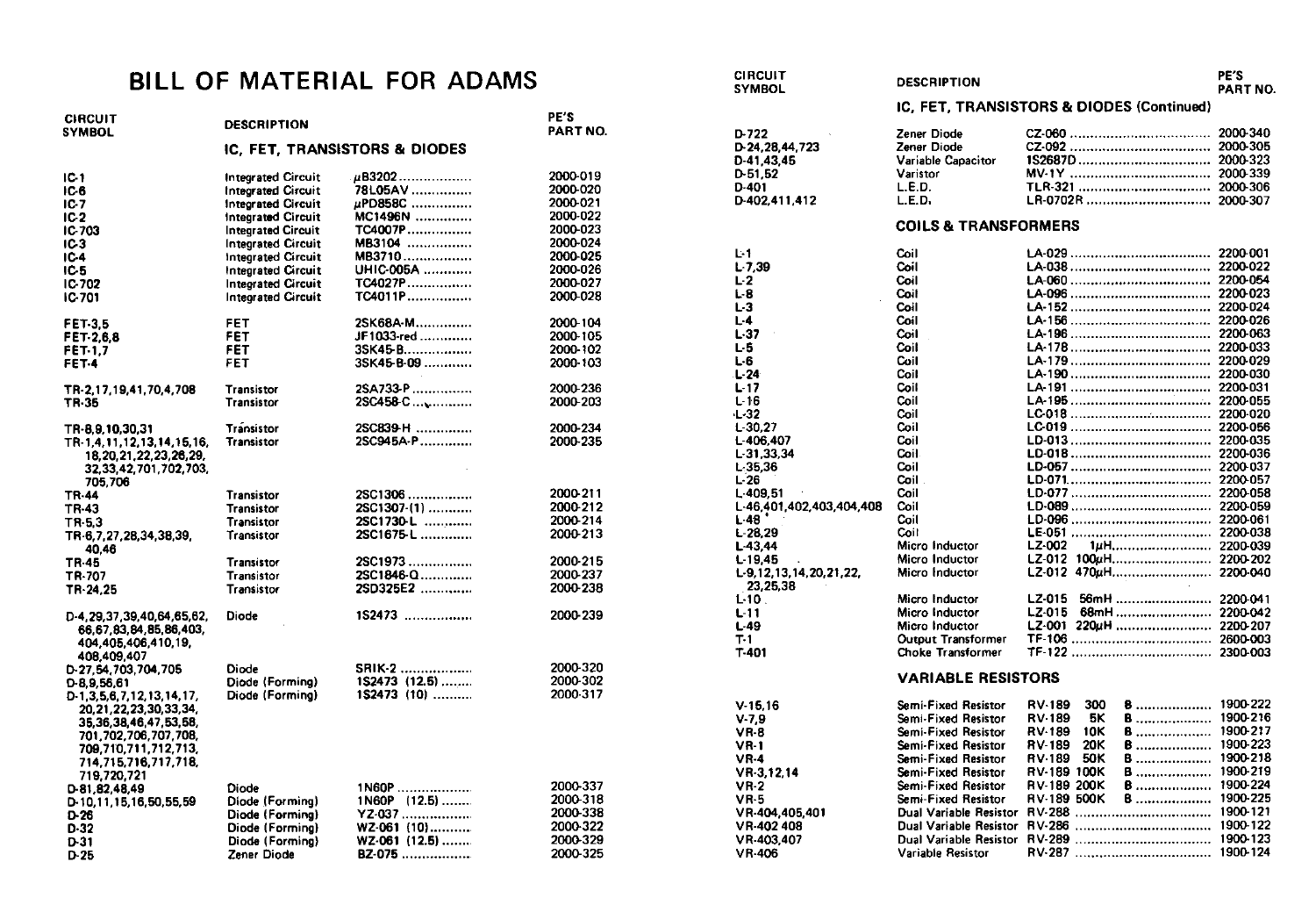## BILL OF MATERIAL FOR ADAMS

| <b>CIRCUIT</b><br><b>SYMBOL</b>                                                                                                                                                       | <b>DESCRIPTION</b>        | PE'S<br>PART NO.              |          |
|---------------------------------------------------------------------------------------------------------------------------------------------------------------------------------------|---------------------------|-------------------------------|----------|
|                                                                                                                                                                                       |                           | IC. FET. TRANSISTORS & DIODES |          |
| IC-1                                                                                                                                                                                  | <b>Integrated Circuit</b> | $\mu$ B3202                   | 2000-019 |
| IC 6                                                                                                                                                                                  | <b>Integrated Circuit</b> | 78L05AV                       | 2000-020 |
| IC-7                                                                                                                                                                                  | <b>Integrated Circuit</b> | uPD858C                       | 2000-021 |
| IC 2                                                                                                                                                                                  | <b>Integrated Circuit</b> | MC1496N                       | 2000-022 |
| IC-703                                                                                                                                                                                | <b>Integrated Circuit</b> | TC4007P                       | 2000-023 |
| IC-3                                                                                                                                                                                  | <b>Integrated Circuit</b> | MB3104                        | 2000-024 |
| IC-4                                                                                                                                                                                  | <b>Integrated Circuit</b> | MB3710                        | 2000-025 |
| IC-5                                                                                                                                                                                  | Integrated Circuit        | UHIC-005A                     | 2000 026 |
| IC-702                                                                                                                                                                                | <b>Integrated Circuit</b> | TC4027P                       | 2000-027 |
| IC-701                                                                                                                                                                                | <b>Integrated Circuit</b> | $TC4011P$                     | 2000-028 |
| <b>FET-3.5</b>                                                                                                                                                                        | <b>FET</b>                | 2SK68A-M                      | 2000-104 |
| FET 2.6.8                                                                                                                                                                             | FET                       | JF1033-red                    | 2000-105 |
| <b>FET-1.7</b>                                                                                                                                                                        | FET                       | 3SK45-B                       | 2000-102 |
| FET-4                                                                                                                                                                                 | FET                       | 3SK45-B-09                    | 2000-103 |
| TR-2.17.19.41.70.4.708                                                                                                                                                                | Transistor                | 2SA733-P                      | 2000-236 |
| TR-35                                                                                                                                                                                 | <b>Transistor</b>         | 2SC458-C                      | 2000-203 |
| TR-8,9,10,30,31                                                                                                                                                                       | Transistor                | 2SC839-H                      | 2000-234 |
| TR-1,4,11,12,13,14,15,16,<br>18.20.21.22.23.26.29.<br>32, 33, 42, 701, 702, 703,<br>705,706                                                                                           | Transistor                | 2SC945A-P                     | 2000-235 |
| TR-44                                                                                                                                                                                 | Transistor                | 2SC1306                       | 2000-211 |
| TR-43                                                                                                                                                                                 | <b>Transistor</b>         | 2SC1307-(1)                   | 2000-212 |
| TR-5.3                                                                                                                                                                                | Transistor                | 2SC1730-L                     | 2000-214 |
| TR-6.7.27.28.34.38.39.<br>40.46                                                                                                                                                       | <b>Transistor</b>         | 2SC1675-L                     | 2000-213 |
| TR-45                                                                                                                                                                                 | Transistor                | 2SC1973                       | 2000-215 |
| TR-707                                                                                                                                                                                | <b>Transistor</b>         | 2SC1846-Q                     | 2000-237 |
| TR-24.25                                                                                                                                                                              | Transistor                | 2SD325E2                      | 2000-238 |
| D-4, 29, 37, 39, 40, 64, 65, 62,<br>66.67.83.84.85.86.403.<br>404.405.406.410.19,<br>408,409,407                                                                                      | Diode                     | 1S2473                        | 2000-239 |
| D-27.54,703,704,705                                                                                                                                                                   | Diode                     | SRIK-2                        | 2000-320 |
| $D-8, 9, 56, 61$                                                                                                                                                                      | Diode (Forming)           | 1S2473 (12.5)                 | 2000-302 |
| D-1.3.5.6.7.12.13.14.17,<br>20, 21, 22, 23, 30, 33, 34,<br>35, 36, 38, 46, 47, 53, 58,<br>701, 702, 706, 707, 708,<br>709,710,711,712,713,<br>714, 715, 716, 717, 718,<br>719,720,721 | Diode (Forming)           | 1S2473 (10)                   | 2000-317 |
| D-81.82.48.49                                                                                                                                                                         | Diode                     | $1N60P$                       | 2000-337 |
| D-10,11,15,16,50,55,59                                                                                                                                                                | Diode (Forming)           | 1N60P (12.5)                  | 2000-318 |
| D-26                                                                                                                                                                                  | Diode (Forming)           | $YZ-037$                      | 2000-338 |
| $D-32$                                                                                                                                                                                | Diode (Formina)           | WZ-061 (10)                   | 2000-322 |
| D-31                                                                                                                                                                                  | Diode (Forming)           | WZ-061 (12.5)                 | 2000-329 |
| D-25                                                                                                                                                                                  | Zener Diode               | BZ-075                        | 2000-325 |

**CIRCUIT** PE'S **DESCRIPTION SYMBOL** PART NO. IC. FET. TRANSISTORS & DIODES (Continued) D-722 Zener Diode 2000-340 D-24.28.44.723 **Zener Diode** 2Q00-305 2000-323  $D-41, 43, 45$ Variable Capacitor D-51.52 Varistor 2000339 D-401 LED. 2Q00-306 D-402.411.412  $L.E.D.$ 2000-307 **COILS & TRANSFORMERS** 2200.001 L-1 Coil  $L-7,39$ Coil 2200-022  $L-2$ Coil 2200-054  $L-B$ Coil 2200-023  $L-3$ Coil 2200.024  $1 - 4$ Coil 2200.026  $L-37$ Coil 2200-063 2200.033  $1.5$ Coil L-B Coil 2200-029  $L-24$ Coil 2200.030  $L-17$ Coil 2200.031 Coil 2200-055  $L-16$  $-32$ Coil 2200-020  $L-30.27$ Coil 2200-056 L-406.407 Coil 2200.005 Coil 2200.006 L-31,33,34 Coil 2200.007  $L-35.36$  $L-26$ Coil 2200-057 2200.058  $L-409,51$ Coil L-46,401,402,403,404,408 Coil 2200-059  $L-48$ Coil 2200-061  $L-28.29$ Coil 2200-038  $L - 43,44$ Micro Inductor LZ-002 2200.009  $L-19.45$ Micro Inductor LZ-012 100uH........................... 2200-202 L-9.12.13.14.20.21.22. Micro Inductor LZ-012 470uH........................... 2200-040 23,25.38 LZ-015 56mH ........................ 2200-041  $1 - 10$ Micro Inductor  $L-11$ Micro Inductor LZ-015 68mH............................ 2200-042 LZ-001 220uH ......................... 2200-207  $L-49$ Micro Inductor 26OQ.OO3  $T-1$ **Output Transformer** T.401 Choke Transformer 2300.003 **VARIABLE RESISTORS**  $V - 15.16$ Semi-Fixed Resistor RV-189 300 **B** ................... 1900-222  $V - 7,9$ Semi-Fixed Resistor RV-189 БΚ. **B** ................... 1900-216 RV-189 1900-217  $VR-8$ Semi-Fixed Resistor 10K B .................... 1900-223  $VR-1$ Semi-Fixed Resistor RV-189 20K Semi-Fixed Resistor RV-189 50K B .................... 1900-218 **VR-4**  $VR-3, 12, 14$ Semi-Fixed Resistor RV-189 100K B .................... 1900-219  $VR<sub>2</sub>$ Semi-Fixed Resistor RV-189 200K B ..................... 1900-224  $VR-5$ Semi-Fixed Resistor RV-189 500K B ..................... 1900-225 VR-404,405,401 Dual Variable Resistor 1900-121 1900-122 VR-402-408 Dual Variable Resistor 1900-123 VR-403,407 Dual Variable Resistor

Variable Resistor

**VR-406** 

1900-124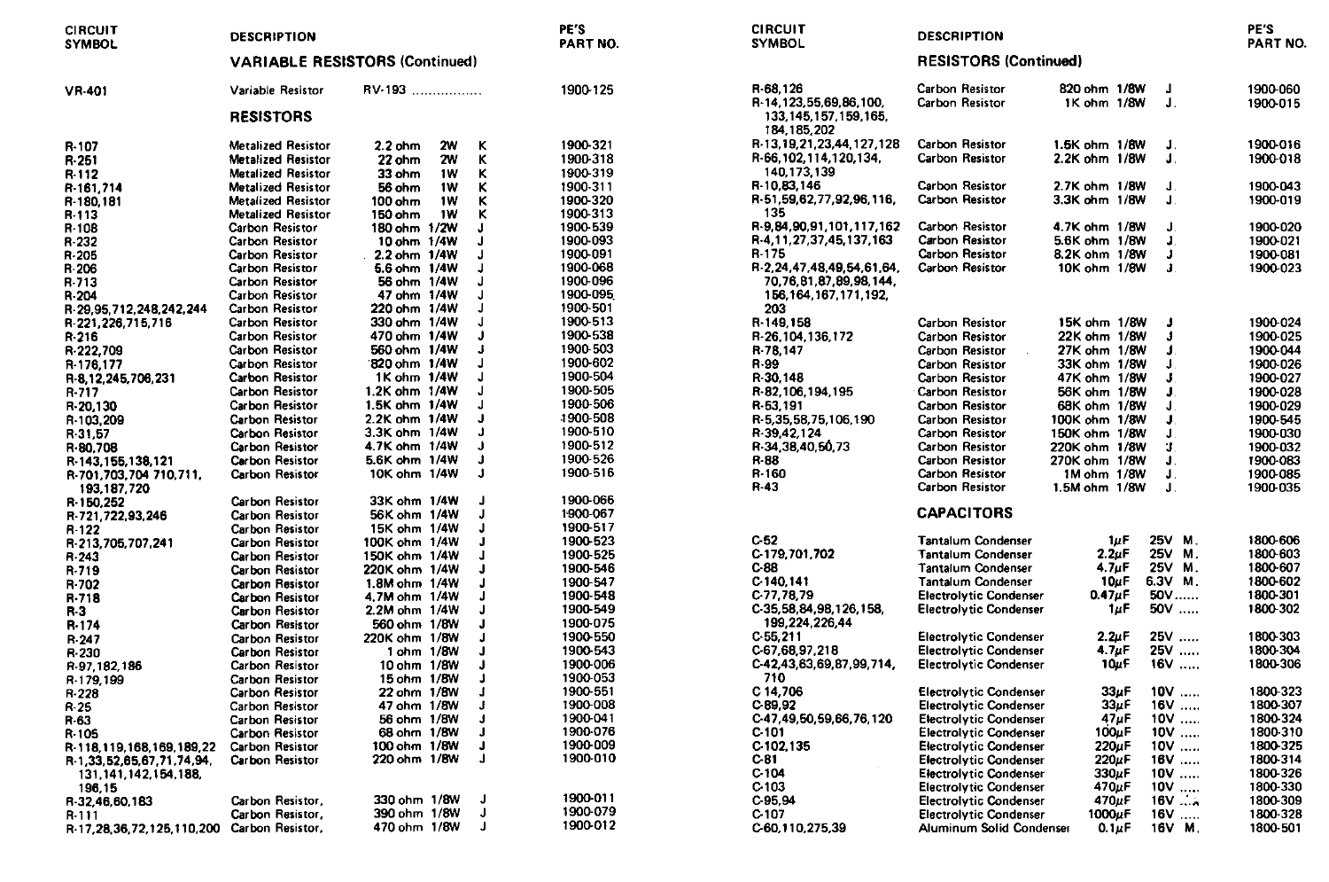| <b>CIRCUIT</b><br><b>SYMBOL</b>            | <b>DESCRIPTION</b>                        |                                       | PE'S<br>PART NO.     | <b>CIRCUIT</b><br><b>SYMBOL</b>                                   | <b>DESCRIPTION</b>                                     |                              |                   | PE'S<br>PART NO.     |
|--------------------------------------------|-------------------------------------------|---------------------------------------|----------------------|-------------------------------------------------------------------|--------------------------------------------------------|------------------------------|-------------------|----------------------|
|                                            |                                           | <b>VARIABLE RESISTORS (Continued)</b> |                      | <b>RESISTORS (Continued)</b>                                      |                                                        |                              |                   |                      |
| <b>VR-401</b>                              | Variable Resistor                         | RV-193                                | 1900-125             | R-68.126                                                          | <b>Carbon Resistor</b>                                 | 820 ohm 1/8W                 | Л                 | 1900-060             |
|                                            | <b>RESISTORS</b>                          |                                       |                      | R-14,123,55,69,86,100,<br>133, 145, 157, 159, 165,<br>184.185.202 | <b>Carbon Resistor</b>                                 | 1K ohm 1/8W                  | J.                | 1900 015             |
| R-107                                      | <b>Metalized Resistor</b>                 | $2.2$ ohm<br><b>2W</b>                | 1900-321<br>κ        | R-13, 19, 21, 23, 44, 127, 128                                    | <b>Carbon Resistor</b>                                 | 1.5K ohm 1/8W                | J.                | 1900-016             |
| R-251                                      | <b>Metalized Resistor</b>                 | 22 ohm<br>2W                          | 1900-318<br>к        | R-66.102.114.120.134.                                             | <b>Carbon Resistor</b>                                 | 2.2K ohm 1/8W                | J.                | 1900-018             |
| R 112                                      | <b>Metalized Resistor</b>                 | 33 ohm<br>1W                          | 1900-319<br>κ        | 140.173.139                                                       |                                                        |                              |                   |                      |
| R-161,714                                  | <b>Metalized Resistor</b>                 | 1W<br>56 ohm                          | 1900-311<br>ĸ        | R-10,83,146                                                       | <b>Carbon Resistor</b>                                 | 2.7K ohm 1/8W                | J                 | 1900-043             |
| R-180.181                                  | <b>Metalized Resistor</b>                 | 100 ohm<br>1W                         | 1900-320             | R-51,59,62,77,92,96,116,                                          | <b>Carbon Resistor</b>                                 | 3.3K ohm 1/8W                | U.                | 1900-019             |
| R-113                                      | <b>Metalized Resistor</b>                 | 150 ohm<br>1W                         | 1900-313             | 135                                                               |                                                        |                              |                   |                      |
| R-108                                      | <b>Carbon Resistor</b>                    | 180 ohm 1/2W                          | 1900-539             | R-9,84,90,91,101,117,162                                          | Carbon Resistor                                        | 4.7K ohm 1/8W                | J                 | 1900-020             |
| R-232                                      | Carbon Resistor                           | 10 ohm 1/4W                           | 1900-093             | R-4,11,27,37,45,137,163                                           | Carbon Resistor                                        | 5.6K ohm 1/8W                | J.                | 1900-021             |
| R-205                                      | Carbon Resistor                           | 2.2 ohm 1/4W                          | 1900-091             | R-175                                                             | <b>Carbon Resistor</b>                                 | 8.2K ohm 1/8W                | J                 | 1900-081             |
| R-206                                      | Carbon Resistor                           | 5.6 ohm 1/4W                          | 1900-068             | R-2.24.47.48.49.54.61.64.                                         | <b>Carbon Resistor</b>                                 | 10K ohm 1/8W                 | $\mathbf{J}$      | 1900-023             |
| R-713                                      | <b>Carbon Resistor</b>                    | 56 ohm 1/4W                           | 1900-096             | 70,76,81,87,89,98,144,                                            |                                                        |                              |                   |                      |
| R-204                                      | Carbon Resistor                           | 47 onm 1/4W                           | 1900-095             | 156.164.167.171.192.                                              |                                                        |                              |                   |                      |
| R-29,95,712,248,242,244                    | Carbon Resistor                           | 220 ohm 1/4W<br>330 ohm 1/4W          | 1900-501<br>1900-513 | 203                                                               |                                                        |                              |                   |                      |
| R-221, 226, 715, 716                       | <b>Carbon Resistor</b>                    | 470 ohm 1/4W                          | 1900-538             | R-149.158                                                         | Carbon Resistor<br><b>Carbon Resistor</b>              | 15K ohm 1/8W<br>22K ohm 1/8W | л<br>$\mathbf{I}$ | 1900-024             |
| R-216                                      | Carbon Resistor                           | 560 ohm 1/4W                          | 1900-503             | R-26.104.136.172                                                  |                                                        | 27K ohm 1/8W                 |                   | 1900-025             |
| R-222,709                                  | <b>Carbon Resistor</b><br>Carbon Resistor | 820 ohm 1/4W                          | 1900-602             | R-78.147<br>R-99                                                  | <b>Carbon Resistor</b><br><b>Carbon Resistor</b>       | 33K ohm 1/8W                 | J                 | 1900-044             |
| R-176,177                                  | <b>Carbon Resistor</b>                    | 1K ohm 1/4W                           | 1900-504             | R-30,148                                                          | Carbon Resistor                                        | 47K ohm 1/8W                 | J.                | 1900-026             |
| R-8,12,245,706,231                         | <b>Carbon Resistor</b>                    | 1.2K ohm 1/4W                         | 1900-505             | R-82,106,194,195                                                  | Carbon Resistor                                        | 56K ohm 1/8W                 | J                 | 1900-027<br>1900-028 |
| R-717                                      | <b>Carbon Resistor</b>                    | 1.5K ohm 1/4W                         | 1900-506             | R-53.191                                                          | <b>Carbon Resistor</b>                                 | 68K ohm 1/8W                 | л                 | 1900-029             |
| R-20,130                                   | <b>Carbon Resistor</b>                    | 2.2K ohm 1/4W                         | 1900-508             | R-5.35.58.75.106.190                                              | <b>Carbon Resistor</b>                                 | 100K ohm 1/8W                |                   | 1900-545             |
| R-103,209                                  | Carbon Resistor                           | 3.3K ohm 1/4W                         | 1900-510             | R-39,42,124                                                       | Carbon Resistor                                        | 150K ohm 1/8W                | $\mathbf{I}$      | 1900-030             |
| R-31,57                                    | <b>Carbon Resistor</b>                    | 4.7K ohm 1/4W                         | 1900-512             | R-34.38.40.50.73                                                  | Carbon Resistor                                        | 220K ohm 1/8W                | п                 | 1900-032             |
| R-80,708<br>R-143, 155, 138, 121           | <b>Carbon Resistor</b>                    | 5.6K ohm 1/4W                         | 1900-526             | R-88                                                              | <b>Carbon Resistor</b>                                 | 270K ohm 1/8W                | J.                | 1900-083             |
| R-701,703,704 710,711,                     | <b>Carbon Resistor</b>                    | 10K ohm 1/4W                          | 1900-516<br>$\cdot$  | R-160                                                             | Carbon Resistor                                        | 1M ohm 1/8W                  | J.                | 1900-085             |
| 193.187.720                                |                                           |                                       |                      | R-43                                                              | <b>Carbon Resistor</b>                                 | 1.5M ohm 1/8W                | J.                | 1900-035             |
| R 150,252                                  | <b>Carbon Resistor</b>                    | 33K ohm 1/4W                          | 1900-066             |                                                                   |                                                        |                              |                   |                      |
| R-721,722,93,246                           | <b>Carbon Resistor</b>                    | 56K ohm 1/4W                          | 1900-067             |                                                                   | <b>CAPACITORS</b>                                      |                              |                   |                      |
| R-122                                      | <b>Carbon Resistor</b>                    | 15K ohm 1/4W                          | 1900-517             | C-52                                                              |                                                        | $1\mu$ F                     | 25V M.            | 1800-606             |
| R-213,705,707,241                          | <b>Carbon Resistor</b>                    | 100K ohm 1/4W                         | 1900-523<br>1900-525 | C-179.701.702                                                     | <b>Tantalum Condenser</b><br><b>Tantalum Condenser</b> | $2.2\nu$ F                   | 25V M.            | 1800-603             |
| R-243                                      | <b>Carbon Resistor</b>                    | 150K ohm 1/4W                         | 1900-546             | C-88                                                              | <b>Tantalum Condenser</b>                              | 4.7 <sub>u</sub> F           | 25V M.            | 1800-607             |
| R-719                                      | <b>Carbon Resistor</b>                    | 220K ohm 1/4W<br>1.8M ohm 1/4W        | 1900-547             | C-140,141                                                         | <b>Tantalum Condenser</b>                              | $10\mu F$                    | 6.3V M.           | 1800-602             |
| R-702                                      | <b>Carbon Resistor</b>                    | 4.7M ohm 1/4W                         | 1900-548             | C 77,78,79                                                        | <b>Electrolytic Condenser</b>                          | $0.47\mu F$                  | 50V               | 1800 301             |
| R-718                                      | Carbon Resistor<br><b>Carbon Resistor</b> | 2.2M ohm 1/4W                         | 1900-549             | C-35, 58, 84, 98, 126, 158,                                       | <b>Electrolytic Condenser</b>                          | 1uF                          | 50V               | 1800-302             |
| R-3                                        | Carbon Resistor                           | 560 ohm 1/8W                          | 1900-075             | 199,224,226,44                                                    |                                                        |                              |                   |                      |
| R-174                                      | Carbon Resistor                           | 220K ohm 1/8W                         | 1900-550             | C-55.211                                                          | <b>Electrolytic Condenser</b>                          | $2.2\nu$ F                   | 25V               | 1800-303             |
| R-247<br>R-230                             | <b>Carbon Resistor</b>                    | 1 ohm 1/8W                            | 1900-543             | C-67.68.97.218                                                    | <b>Electrolytic Condenser</b>                          | 4.7 <sub>μ</sub> F           | 25V               | 1800-304             |
| R-97, 182, 186                             | Carbon Resistor                           | 10 ohm 1/8W                           | 1900-006             | C-42,43,63,69,87,99,714,                                          | <b>Electrolytic Condenser</b>                          | 10uF                         | $16V$             | 1800-306             |
| R-179.199                                  | <b>Carbon Resistor</b>                    | 15 ohm 1/8W                           | 1900-053             | 710                                                               |                                                        |                              |                   |                      |
| R-228                                      | Carbon Resistor                           | 22 ohm 1/8W                           | 1900-551             | C 14,706                                                          | <b>Electrolytic Condenser</b>                          | $33u$ F                      | $10V$             | 1800-323             |
| R-25                                       | <b>Carbon Resistor</b>                    | 47 ohm 1/8W                           | 1900-008             | C.89,92                                                           | <b>Electrolytic Condenser</b>                          | 33µF                         | $16V$             | 1800-307             |
| R-63                                       | <b>Carbon Resistor</b>                    | 56 ohm 1/8W                           | 1900-041             | C-47,49,50,59,66,76,120                                           | <b>Electrolytic Condenser</b>                          | $47\mu$ F                    | $10V$             | 1800-324             |
| R-105                                      | <b>Carbon Resistor</b>                    | 68 ohm 1/8W                           | 1900-076             | C-101                                                             | <b>Electrolytic Condenser</b>                          | $100\mu F$                   | $10V$             | 1800-310             |
| R-118.119.168.169.189.22                   | <b>Carbon Resistor</b>                    | 100 ohm 1/8W                          | 1900-009<br>1        | C-102.135                                                         | <b>Electrolytic Condenser</b>                          | 220µF                        | $10V$             | 1800-325             |
| R 1.33.52.65.67.71.74.94,                  | <b>Carbon Resistor</b>                    | 220 ohm 1/8W                          | 1900-010<br>Л        | C-81                                                              | <b>Electrolytic Condenser</b>                          | $220\mu$ F                   | $16V$             | 1800-314             |
| 131, 141, 142, 154, 188,                   |                                           |                                       |                      | C 104                                                             | <b>Electrolytic Condenser</b>                          | 330uF                        | $10V$             | 1800-326             |
| 196.15                                     |                                           |                                       |                      | C-103                                                             | <b>Electrolytic Condenser</b>                          | 470µF                        | $10V$             | 1800-330             |
| R-32.46.60.183                             | Carbon Resistor,                          | 330 ohm 1/8W                          | 1900-011             | C-95,94                                                           | <b>Electrolytic Condenser</b>                          | 470uF                        | $16V$             | 1800-309             |
| R-111                                      | Carbon Resistor,                          | 390 ohm 1/8W                          | 1900-079<br>Л        | C 107                                                             | <b>Electrolytic Condenser</b>                          | 1000µF                       | $16V$             | 1800-328             |
| R-17,28,36,72,125,110,200 Carbon Resistor, |                                           | 470 ohm 1/8W                          | 1900-012             | C-60,110.275,39                                                   | Aluminum Solid Condenser                               | $0.1 \mu F$                  | 16V M.            | 1800-501             |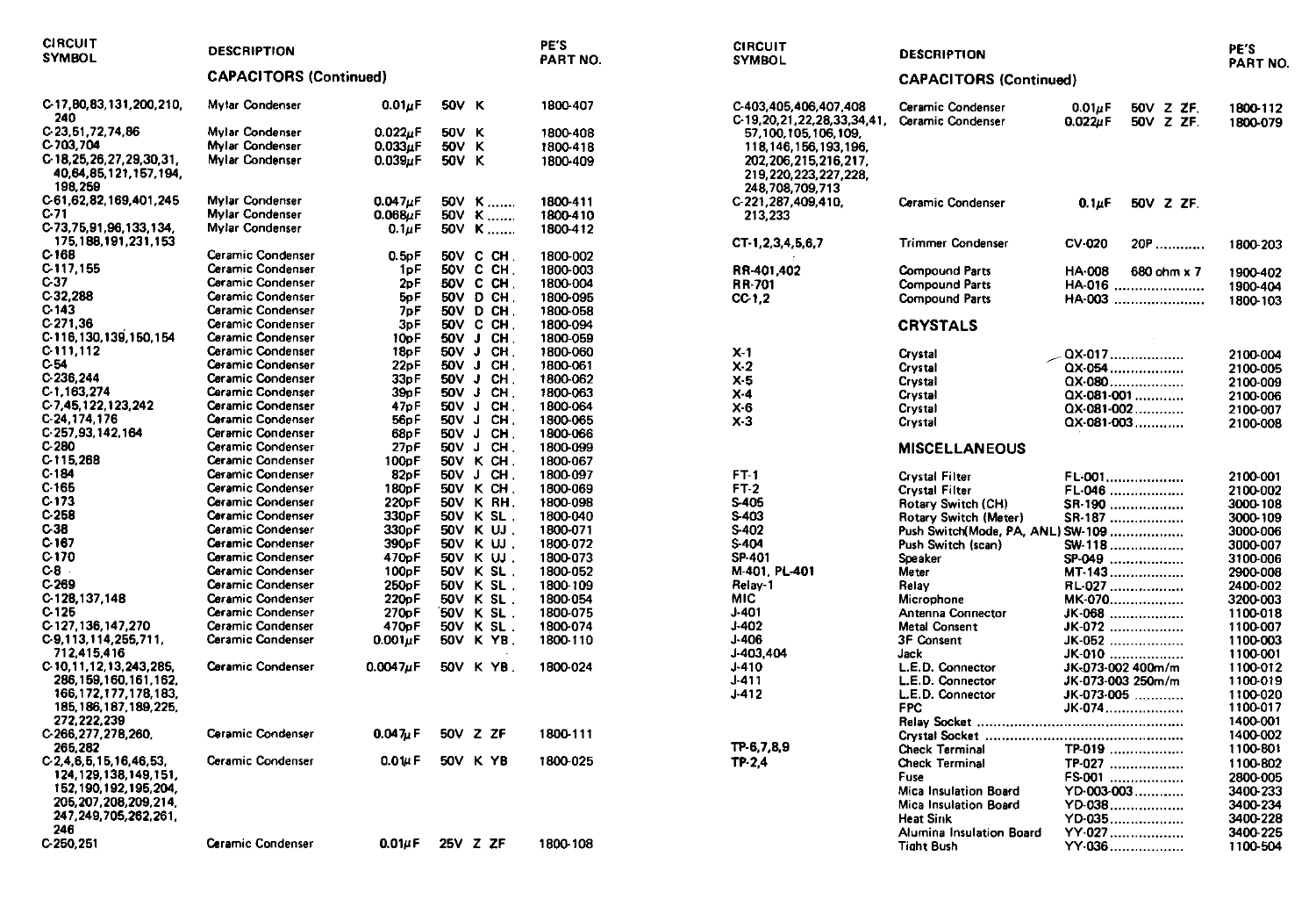| <b>CIRCUIT</b><br><b>SYMBOL</b>                                   | <b>DESCRIPTION</b>            |                      |       |                     | PE'S<br>PART NO. | <b>CIRCUIT</b><br>SYMBOL                                                | <b>DESCRIPTION</b>                     |                                                       | PE'S<br>PART NO.     |
|-------------------------------------------------------------------|-------------------------------|----------------------|-------|---------------------|------------------|-------------------------------------------------------------------------|----------------------------------------|-------------------------------------------------------|----------------------|
|                                                                   | <b>CAPACITORS (Continued)</b> |                      |       |                     |                  |                                                                         | <b>CAPACITORS (Continued)</b>          |                                                       |                      |
| C-17,80,83,131,200,210,<br>240                                    | <b>Mytar Condenser</b>        | $0.01\mu$ F          | 50V K |                     | 1800-407         | C-403,405,406,407,408<br>C-19, 20, 21, 22, 28, 33, 34, 41,              | Ceramic Condenser<br>Ceramic Condenser | $0.01\mu$ F<br>50V Z ZF.<br>$0.022\mu F$<br>50V Z ZF. | 1800-112<br>1800-079 |
| C 23, 51, 72, 74, 86                                              | <b>Mylar Condenser</b>        | $0.022 \mu F$        | 50V K |                     | 1800 408         | 57.100.105.106.109.                                                     |                                        |                                                       |                      |
| C-703,704                                                         | <b>Mylar Condenser</b>        | $0.033\mu F$         | 50V K |                     | 1800-418         | 118, 146, 156, 193, 196,                                                |                                        |                                                       |                      |
| C 18, 25, 26, 27, 29, 30, 31,<br>40,64,85,121,157,194,<br>198,259 | <b>Mylar Condenser</b>        | $0.039\mu F$         | 50V K |                     | 1800-409         | 202, 206, 215, 216, 217,<br>219, 220, 223, 227, 228,<br>248,708,709,713 |                                        |                                                       |                      |
| C-61,62,82,169,401,245                                            | <b>Mylar Condenser</b>        | $0.047 \mu F$        |       | 50V K               | 1800-411         | C-221.287.409.410.                                                      | <b>Ceramic Condenser</b>               | $0.1\mu F$<br>50V Z ZF.                               |                      |
| C-71                                                              | <b>Mylar Condenser</b>        | 0.068uF              |       | 50V K               | 1800-410         | 213,233                                                                 |                                        |                                                       |                      |
| C-73, 75, 91, 96, 133, 134,<br>175, 188, 191, 231, 153            | <b>Mylar Condenser</b>        | $0.1 \mu F$          |       | 50V K               | 1800-412         | CT-1,2,3,4,5,6,7                                                        | <b>Trimmer Condenser</b>               | <b>CV-020</b><br>20P                                  | 1800-203             |
| $C$ 168                                                           | Ceramic Condenser             | 0.5 <sub>D</sub> F   |       | 50V C CH.           | 1800-002         |                                                                         |                                        |                                                       |                      |
| C 117,155                                                         | Ceramic Condenser             | 1oF                  |       | 50V C CH.           | 1800-003         | RR-401.402                                                              | <b>Compound Parts</b>                  | <b>HA 008</b><br>680 ohm x 7                          | 1900-402             |
| C-37                                                              | Ceramic Condenser             | 2pF                  |       | 50V C CH.           | 1800-004         | RR-701                                                                  | <b>Compound Parts</b>                  | HA-016                                                | 1900-404             |
| C.32,288                                                          | <b>Ceramic Condenser</b>      | 5pF                  |       | 50V D CH            | 1800-095         | CC-1.2                                                                  | <b>Compound Parts</b>                  | HA-003                                                | 1800-103             |
| C-143                                                             | Ceramic Condenser             | 7pF                  |       | 50V D CH            | 1800-058         |                                                                         |                                        |                                                       |                      |
| C 271,36                                                          | <b>Ceramic Condenser</b>      | 3pF                  |       | 50V C CH.           | 1800-094         |                                                                         | <b>CRYSTALS</b>                        |                                                       |                      |
| C-116, 130, 139, 150, 154                                         | <b>Ceramic Condenser</b>      | 10oF                 |       | 50V J CH.           | 1800-059         |                                                                         |                                        |                                                       |                      |
| C 111,112                                                         | Ceramic Condenser             | 18oF                 | 50V   | $\mathbf{J}$<br>CH. | 1800-060         | $X-1$                                                                   | Crystal                                | QX-017                                                | 2100-004             |
| C 54                                                              | <b>Ceramic Condenser</b>      | 22pF                 |       | 50V J CH            | 1800-061         | $X-2$                                                                   | Crystal                                | QX-054                                                | 2100-005             |
| C-236.244                                                         | <b>Ceramic Condenser</b>      | 33pF                 | 50V J | CH.                 | 1800-062         | $X-5$                                                                   | Crystal                                | QX-080                                                | 2100-009             |
| C 1,163,274                                                       | Ceramic Condenser             | 39 <sub>0</sub> F    |       | 50V J CH.           | 1800-063         | $X-4$                                                                   | Crystal                                | QX-081-001                                            | 2100-006             |
| C-7,45,122,123,242                                                | Ceramic Condenser             | 47pF                 | 50V   | J.<br>CH.           | 1800-064         | X-6                                                                     | Crystal                                | QX-081-002                                            | 2100-007             |
| C 24.174.176                                                      | <b>Ceramic Condenser</b>      | 56pF                 | 50V J | CH.                 | 1800-065         | $X-3$                                                                   | Crystal                                | QX-081-003                                            | 2100-008             |
| C-257,93,142,164                                                  | Ceramic Condenser             | 68pF                 |       | 50V J CH            | 1800-066         |                                                                         |                                        |                                                       |                      |
| C 280                                                             | Ceramic Condenser             | 27 <sub>D</sub> F    |       | 50V J CH.           | 1800-099         |                                                                         | <b>MISCELLANEOUS</b>                   |                                                       |                      |
| C 115.268                                                         | Ceramic Condenser             | 100 <sub>p</sub> F   |       | 50V K CH.           | 1800-067         |                                                                         |                                        |                                                       |                      |
| C 184                                                             | <b>Ceramic Condenser</b>      | 82pF                 |       | 50V J CH            | 1800-097         | FT-1                                                                    | <b>Crystal Filter</b>                  | FL-001                                                | 2100-001             |
| C 165                                                             | Ceramic Condenser             | 180pF                |       | 50V K CH.           | 1800-069         | FT-2                                                                    | <b>Crystal Filter</b>                  | FL-046                                                | 2100-002             |
| C-173                                                             | Ceramic Condenser             | 220pF                |       | 50V K RH.           | 1800-098         | <b>S-405</b>                                                            | Rotary Switch (CH)                     | SR-190                                                | 3000-108             |
| $C-258$                                                           | Ceramic Condenser             | 330 <sub>D</sub> F   | 50V   | K SL.               | 1800-040         | S-403                                                                   | Rotary Switch (Meter)                  | SR-187                                                | 3000-109             |
| C-38                                                              | Ceramic Condenser             | 330 <sub>p</sub> F   |       | 50V K UJ.           | 1800-071         | S-402                                                                   | Push Switch(Mode, PA, ANL) SW-109      |                                                       | 3000-006             |
| C 167                                                             | Ceramic Condenser             | 390 <sub>p</sub> F   |       | 50V K UJ.           | 1800-072         | S-404                                                                   | Push Switch (scan)                     | SW-118                                                | 3000-007             |
| C 170                                                             | Ceramic Condenser             | 470pF                |       | 50V K UJ.           | 1800-073         | SP-401                                                                  | Speaker                                | SP-049                                                | 3100-006             |
| C-B.                                                              | <b>Ceramic Condenser</b>      | 100pF                |       | 50V K SL.           | 1800-052         | M-401, PL-401                                                           | <b>Meter</b>                           | MT-143                                                | 2900-008             |
| $C-269$                                                           | Ceramic Condenser             | 250 <sub>p</sub> F   |       | 50V K SL.           | 1800-109         | Relay 1                                                                 | Relav                                  | RL-027                                                | 2400-002             |
| C-128,137,148                                                     | Ceramic Condenser             | 220pF                |       | 50V K SL.           | 1800-054         | <b>MIC</b>                                                              | Microphone                             | MK-070                                                | 3200-003             |
| $C-125$                                                           | <b>Ceramic Condenser</b>      | 270oF                |       | 50V K SL.           | 1800-075         | $J-401$                                                                 | Antenna Connector                      | JK-068                                                | 1100-018             |
| C-127, 136, 147, 270                                              | Ceramic Condenser             | 470pF                |       | 50V K SL.           | 1800-074         | J-402                                                                   | <b>Metal Consent</b>                   | JK-072                                                | 1100-007             |
| C-9.113.114.255.711.                                              | <b>Ceramic Condenser</b>      | $0.001\mu F$         |       | 50V K YB.           | 1800-110         | $J-406$                                                                 | <b>3F Consent</b>                      | JK-052                                                | 1100-003             |
| 712,415,416                                                       |                               |                      |       |                     |                  | J-403,404                                                               | Jack                                   | JK-010                                                | 1100-001             |
| C-10.11.12.13.243.285.                                            | <b>Ceramic Condenser</b>      | $0.0047\mu$ F        |       | 50V K YB.           | 1800-024         | $J-410$                                                                 | L.E.D. Connector                       | JK-073-002 400m/m                                     | 1100-012             |
| 286, 159, 160, 161, 162,                                          |                               |                      |       |                     |                  | J-411                                                                   | L.E.D. Connector                       | JK-073-003 250m/m                                     | 1100-019             |
| 166, 172, 177, 178, 183,                                          |                               |                      |       |                     |                  | $J-412$                                                                 | L.E.D. Connector                       | JK-073-005                                            | 1100-020             |
| 185, 186, 187, 189, 225,                                          |                               |                      |       |                     |                  |                                                                         | <b>FPC</b>                             | JK-074                                                | 1100-017             |
| 272,222,239                                                       |                               |                      |       |                     |                  |                                                                         |                                        |                                                       | 1400-001             |
| C-266, 277, 278, 260,                                             | Ceramic Condenser             | 0.047 <sub>u</sub> F |       | 50V Z ZF            | 1800-111         |                                                                         |                                        |                                                       | 1400-002             |
| 265,282                                                           |                               |                      |       |                     |                  | TP-6,7,8,9                                                              | <b>Check Terminal</b>                  | TP-019                                                | 1100-801             |
| C 2.4.6.5.15.16.46.53.                                            | Ceramic Condenser             | 0.014F               |       | 50V K YB            | 1800-025         | TP-2.4                                                                  | <b>Check Terminal</b>                  | TP-027                                                | 1100-802             |
| 124, 129, 138, 149, 151,                                          |                               |                      |       |                     |                  |                                                                         | Fuse                                   | FS-001                                                | 2800-005             |
| 152, 190, 192, 195, 204,                                          |                               |                      |       |                     |                  |                                                                         | <b>Mica Insulation Board</b>           | YD-003-003                                            | 3400-233             |
| 205, 207, 208, 209, 214,                                          |                               |                      |       |                     |                  |                                                                         | Mica Insulation Board                  | YD-038                                                | 3400-234             |
| 247, 249, 705, 262, 261,                                          |                               |                      |       |                     |                  |                                                                         | <b>Heat Sink</b>                       | YD-035                                                | 3400-228             |
| 246                                                               |                               |                      |       |                     |                  |                                                                         | Alumina Insulation Board               | YY-027                                                | 3400-225             |
| C-250,251                                                         | Ceramic Condenser             | $0.01\mu F$          |       | 25V Z ZF            | 1800-108         |                                                                         | <b>Tight Bush</b>                      | YY-036                                                | 1100-504             |